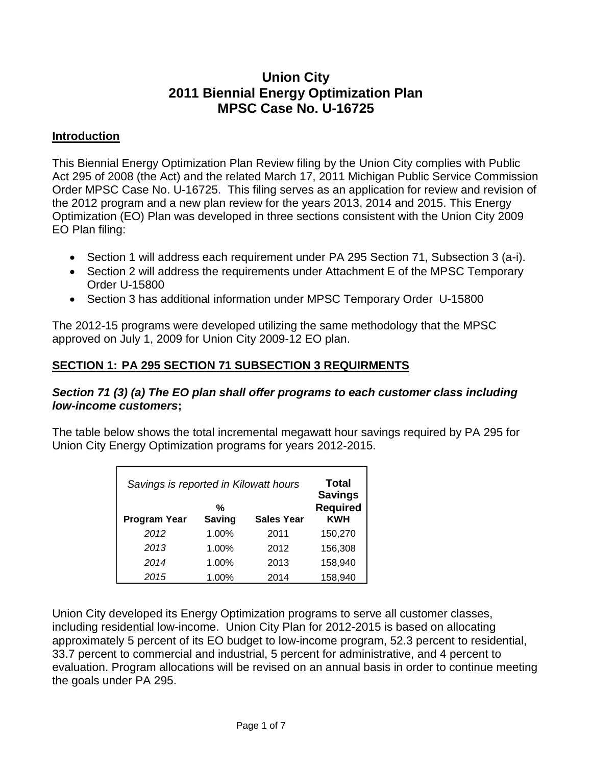# **Union City 2011 Biennial Energy Optimization Plan MPSC Case No. U-16725**

#### **Introduction**

This Biennial Energy Optimization Plan Review filing by the Union City complies with Public Act 295 of 2008 (the Act) and the related March 17, 2011 Michigan Public Service Commission Order MPSC Case No. U-16725. This filing serves as an application for review and revision of the 2012 program and a new plan review for the years 2013, 2014 and 2015. This Energy Optimization (EO) Plan was developed in three sections consistent with the Union City 2009 EO Plan filing:

- Section 1 will address each requirement under PA 295 Section 71, Subsection 3 (a-i).
- Section 2 will address the requirements under Attachment E of the MPSC Temporary Order U-15800
- Section 3 has additional information under MPSC Temporary Order U-15800

The 2012-15 programs were developed utilizing the same methodology that the MPSC approved on July 1, 2009 for Union City 2009-12 EO plan.

### **SECTION 1: PA 295 SECTION 71 SUBSECTION 3 REQUIRMENTS**

#### *Section 71 (3) (a) The EO plan shall offer programs to each customer class including low-income customers***;**

The table below shows the total incremental megawatt hour savings required by PA 295 for Union City Energy Optimization programs for years 2012-2015.

| Savings is reported in Kilowatt hours<br>%<br><b>Saving</b><br><b>Program Year</b><br><b>Sales Year</b> |       |      | Total<br><b>Savings</b><br><b>Required</b><br><b>KWH</b> |
|---------------------------------------------------------------------------------------------------------|-------|------|----------------------------------------------------------|
| 2012                                                                                                    | 1.00% | 2011 | 150,270                                                  |
| 2013                                                                                                    | 1.00% | 2012 | 156,308                                                  |
| 2014                                                                                                    | 1.00% | 2013 | 158,940                                                  |
| 2015                                                                                                    | 1.00% | 2014 | 158,940                                                  |

Union City developed its Energy Optimization programs to serve all customer classes, including residential low-income. Union City Plan for 2012-2015 is based on allocating approximately 5 percent of its EO budget to low-income program, 52.3 percent to residential, 33.7 percent to commercial and industrial, 5 percent for administrative, and 4 percent to evaluation. Program allocations will be revised on an annual basis in order to continue meeting the goals under PA 295.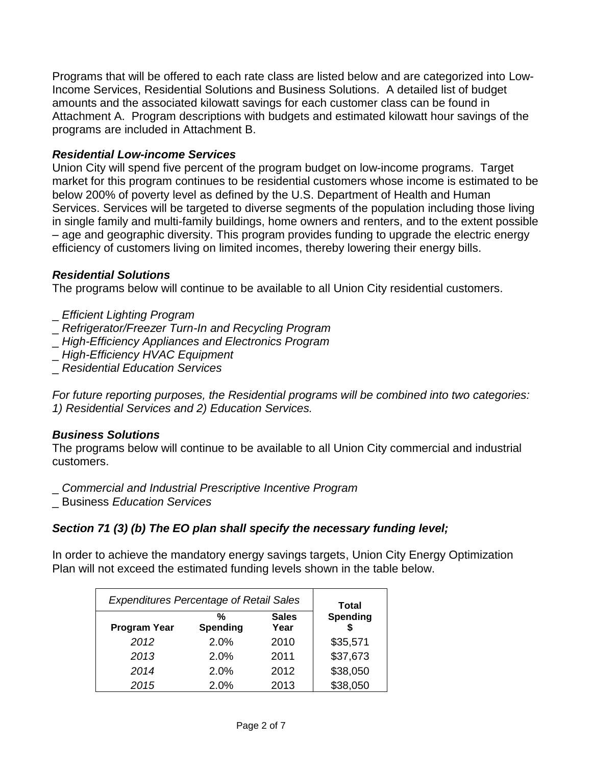Programs that will be offered to each rate class are listed below and are categorized into Low-Income Services, Residential Solutions and Business Solutions. A detailed list of budget amounts and the associated kilowatt savings for each customer class can be found in Attachment A. Program descriptions with budgets and estimated kilowatt hour savings of the programs are included in Attachment B.

#### *Residential Low-income Services*

Union City will spend five percent of the program budget on low-income programs. Target market for this program continues to be residential customers whose income is estimated to be below 200% of poverty level as defined by the U.S. Department of Health and Human Services. Services will be targeted to diverse segments of the population including those living in single family and multi-family buildings, home owners and renters, and to the extent possible – age and geographic diversity. This program provides funding to upgrade the electric energy efficiency of customers living on limited incomes, thereby lowering their energy bills.

#### *Residential Solutions*

The programs below will continue to be available to all Union City residential customers.

- \_ *Efficient Lighting Program*
- \_ *Refrigerator/Freezer Turn-In and Recycling Program*
- \_ *High-Efficiency Appliances and Electronics Program*
- \_ *High-Efficiency HVAC Equipment*
- \_ *Residential Education Services*

*For future reporting purposes, the Residential programs will be combined into two categories: 1) Residential Services and 2) Education Services.* 

#### *Business Solutions*

The programs below will continue to be available to all Union City commercial and industrial customers.

\_ *Commercial and Industrial Prescriptive Incentive Program*

\_ Business *Education Services*

### *Section 71 (3) (b) The EO plan shall specify the necessary funding level;*

In order to achieve the mandatory energy savings targets, Union City Energy Optimization Plan will not exceed the estimated funding levels shown in the table below.

| <b>Expenditures Percentage of Retail Sales</b> |               |                      | <b>Total</b> |
|------------------------------------------------|---------------|----------------------|--------------|
| <b>Program Year</b>                            | %<br>Spending | <b>Sales</b><br>Year | Spending     |
| 2012                                           | 2.0%          | 2010                 | \$35,571     |
| 2013                                           | 2.0%          | 2011                 | \$37,673     |
| 2014                                           | 2.0%          | 2012                 | \$38,050     |
| 2015                                           | 2.0%          | 2013                 | \$38,050     |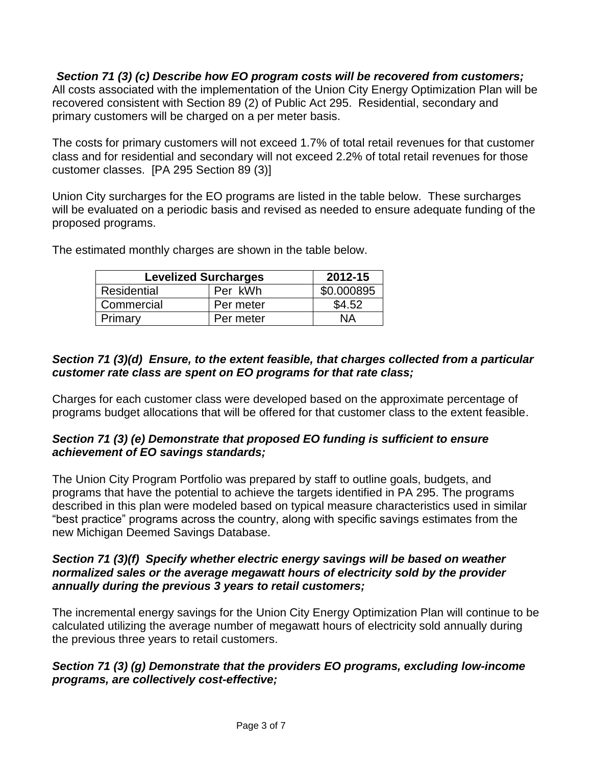*Section 71 (3) (c) Describe how EO program costs will be recovered from customers;* All costs associated with the implementation of the Union City Energy Optimization Plan will be recovered consistent with Section 89 (2) of Public Act 295. Residential, secondary and primary customers will be charged on a per meter basis.

The costs for primary customers will not exceed 1.7% of total retail revenues for that customer class and for residential and secondary will not exceed 2.2% of total retail revenues for those customer classes. [PA 295 Section 89 (3)]

Union City surcharges for the EO programs are listed in the table below. These surcharges will be evaluated on a periodic basis and revised as needed to ensure adequate funding of the proposed programs.

| <b>Levelized Surcharges</b> | 2012-15   |            |
|-----------------------------|-----------|------------|
| Residential                 | Per kWh   | \$0.000895 |
| Commercial                  | Per meter | \$4.52     |
| Primarv                     | Per meter | NА         |

The estimated monthly charges are shown in the table below.

# *Section 71 (3)(d) Ensure, to the extent feasible, that charges collected from a particular customer rate class are spent on EO programs for that rate class;*

Charges for each customer class were developed based on the approximate percentage of programs budget allocations that will be offered for that customer class to the extent feasible.

### *Section 71 (3) (e) Demonstrate that proposed EO funding is sufficient to ensure achievement of EO savings standards;*

The Union City Program Portfolio was prepared by staff to outline goals, budgets, and programs that have the potential to achieve the targets identified in PA 295. The programs described in this plan were modeled based on typical measure characteristics used in similar "best practice" programs across the country, along with specific savings estimates from the new Michigan Deemed Savings Database.

#### *Section 71 (3)(f) Specify whether electric energy savings will be based on weather normalized sales or the average megawatt hours of electricity sold by the provider annually during the previous 3 years to retail customers;*

The incremental energy savings for the Union City Energy Optimization Plan will continue to be calculated utilizing the average number of megawatt hours of electricity sold annually during the previous three years to retail customers.

### *Section 71 (3) (g) Demonstrate that the providers EO programs, excluding low-income programs, are collectively cost-effective;*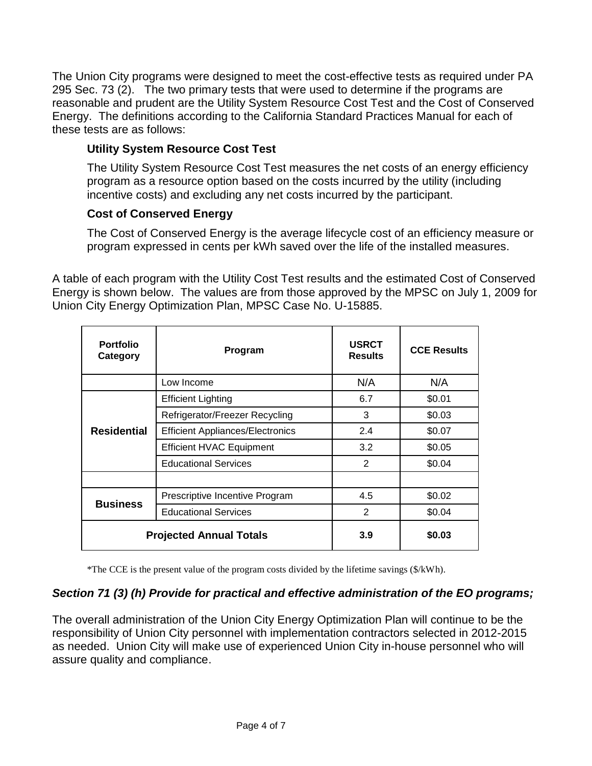The Union City programs were designed to meet the cost-effective tests as required under PA 295 Sec. 73 (2). The two primary tests that were used to determine if the programs are reasonable and prudent are the Utility System Resource Cost Test and the Cost of Conserved Energy. The definitions according to the California Standard Practices Manual for each of these tests are as follows:

# **Utility System Resource Cost Test**

The Utility System Resource Cost Test measures the net costs of an energy efficiency program as a resource option based on the costs incurred by the utility (including incentive costs) and excluding any net costs incurred by the participant.

### **Cost of Conserved Energy**

The Cost of Conserved Energy is the average lifecycle cost of an efficiency measure or program expressed in cents per kWh saved over the life of the installed measures.

A table of each program with the Utility Cost Test results and the estimated Cost of Conserved Energy is shown below. The values are from those approved by the MPSC on July 1, 2009 for Union City Energy Optimization Plan, MPSC Case No. U-15885.

| <b>Portfolio</b><br>Category   | Program                                 | <b>USRCT</b><br><b>Results</b> | <b>CCE Results</b> |
|--------------------------------|-----------------------------------------|--------------------------------|--------------------|
|                                | Low Income                              | N/A                            | N/A                |
| <b>Residential</b>             | <b>Efficient Lighting</b>               | 6.7                            | \$0.01             |
|                                | Refrigerator/Freezer Recycling          | 3                              | \$0.03             |
|                                | <b>Efficient Appliances/Electronics</b> | 2.4                            | \$0.07             |
|                                | <b>Efficient HVAC Equipment</b>         | 3.2                            | \$0.05             |
|                                | <b>Educational Services</b>             | 2                              | \$0.04             |
|                                |                                         |                                |                    |
| <b>Business</b>                | Prescriptive Incentive Program          | 4.5                            | \$0.02             |
|                                | <b>Educational Services</b>             | 2                              | \$0.04             |
| <b>Projected Annual Totals</b> |                                         | 3.9                            | \$0.03             |

\*The CCE is the present value of the program costs divided by the lifetime savings (\$/kWh).

### *Section 71 (3) (h) Provide for practical and effective administration of the EO programs;*

The overall administration of the Union City Energy Optimization Plan will continue to be the responsibility of Union City personnel with implementation contractors selected in 2012-2015 as needed. Union City will make use of experienced Union City in-house personnel who will assure quality and compliance.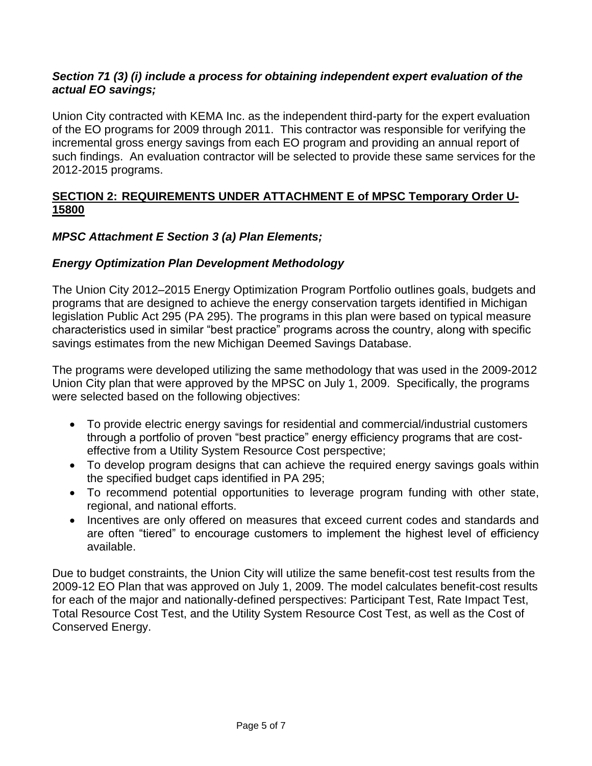#### *Section 71 (3) (i) include a process for obtaining independent expert evaluation of the actual EO savings;*

Union City contracted with KEMA Inc. as the independent third-party for the expert evaluation of the EO programs for 2009 through 2011. This contractor was responsible for verifying the incremental gross energy savings from each EO program and providing an annual report of such findings. An evaluation contractor will be selected to provide these same services for the 2012-2015 programs.

### **SECTION 2: REQUIREMENTS UNDER ATTACHMENT E of MPSC Temporary Order U-15800**

### *MPSC Attachment E Section 3 (a) Plan Elements;*

### *Energy Optimization Plan Development Methodology*

The Union City 2012–2015 Energy Optimization Program Portfolio outlines goals, budgets and programs that are designed to achieve the energy conservation targets identified in Michigan legislation Public Act 295 (PA 295). The programs in this plan were based on typical measure characteristics used in similar "best practice" programs across the country, along with specific savings estimates from the new Michigan Deemed Savings Database.

The programs were developed utilizing the same methodology that was used in the 2009-2012 Union City plan that were approved by the MPSC on July 1, 2009. Specifically, the programs were selected based on the following objectives:

- To provide electric energy savings for residential and commercial/industrial customers through a portfolio of proven "best practice" energy efficiency programs that are costeffective from a Utility System Resource Cost perspective;
- To develop program designs that can achieve the required energy savings goals within the specified budget caps identified in PA 295;
- To recommend potential opportunities to leverage program funding with other state, regional, and national efforts.
- Incentives are only offered on measures that exceed current codes and standards and are often "tiered" to encourage customers to implement the highest level of efficiency available.

Due to budget constraints, the Union City will utilize the same benefit-cost test results from the 2009-12 EO Plan that was approved on July 1, 2009. The model calculates benefit-cost results for each of the major and nationally-defined perspectives: Participant Test, Rate Impact Test, Total Resource Cost Test, and the Utility System Resource Cost Test, as well as the Cost of Conserved Energy.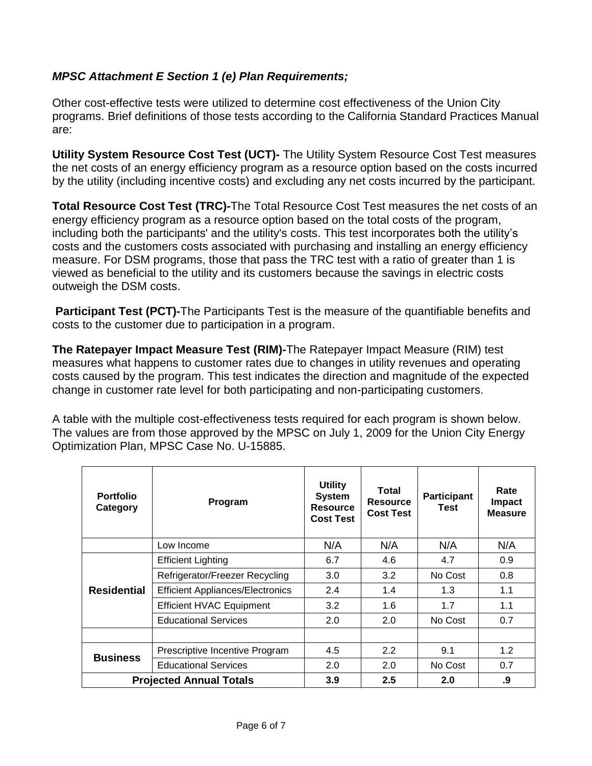### *MPSC Attachment E Section 1 (e) Plan Requirements;*

Other cost-effective tests were utilized to determine cost effectiveness of the Union City programs. Brief definitions of those tests according to the California Standard Practices Manual are:

**Utility System Resource Cost Test (UCT)-** The Utility System Resource Cost Test measures the net costs of an energy efficiency program as a resource option based on the costs incurred by the utility (including incentive costs) and excluding any net costs incurred by the participant.

**Total Resource Cost Test (TRC)-**The Total Resource Cost Test measures the net costs of an energy efficiency program as a resource option based on the total costs of the program, including both the participants' and the utility's costs. This test incorporates both the utility's costs and the customers costs associated with purchasing and installing an energy efficiency measure. For DSM programs, those that pass the TRC test with a ratio of greater than 1 is viewed as beneficial to the utility and its customers because the savings in electric costs outweigh the DSM costs.

**Participant Test (PCT)-**The Participants Test is the measure of the quantifiable benefits and costs to the customer due to participation in a program.

**The Ratepayer Impact Measure Test (RIM)-**The Ratepayer Impact Measure (RIM) test measures what happens to customer rates due to changes in utility revenues and operating costs caused by the program. This test indicates the direction and magnitude of the expected change in customer rate level for both participating and non-participating customers.

A table with the multiple cost-effectiveness tests required for each program is shown below. The values are from those approved by the MPSC on July 1, 2009 for the Union City Energy Optimization Plan, MPSC Case No. U-15885.

| <b>Portfolio</b><br>Category   | Program                                 | <b>Utility</b><br><b>System</b><br><b>Resource</b><br><b>Cost Test</b> | Total<br><b>Resource</b><br><b>Cost Test</b> | <b>Participant</b><br>Test | Rate<br><b>Impact</b><br><b>Measure</b> |
|--------------------------------|-----------------------------------------|------------------------------------------------------------------------|----------------------------------------------|----------------------------|-----------------------------------------|
|                                | Low Income                              | N/A                                                                    | N/A                                          | N/A                        | N/A                                     |
| <b>Residential</b>             | <b>Efficient Lighting</b>               | 6.7                                                                    | 4.6                                          | 4.7                        | 0.9                                     |
|                                | Refrigerator/Freezer Recycling          | 3.0                                                                    | 3.2                                          | No Cost                    | 0.8                                     |
|                                | <b>Efficient Appliances/Electronics</b> | 2.4                                                                    | 1.4                                          | 1.3                        | 1.1                                     |
|                                | <b>Efficient HVAC Equipment</b>         | 3.2                                                                    | 1.6                                          | 1.7                        | 1.1                                     |
|                                | <b>Educational Services</b>             | 2.0                                                                    | 2.0                                          | No Cost                    | 0.7                                     |
|                                |                                         |                                                                        |                                              |                            |                                         |
| <b>Business</b>                | Prescriptive Incentive Program          | 4.5                                                                    | 2.2                                          | 9.1                        | 1.2                                     |
|                                | <b>Educational Services</b>             | 2.0                                                                    | 2.0                                          | No Cost                    | 0.7                                     |
| <b>Projected Annual Totals</b> |                                         | 3.9                                                                    | 2.5                                          | 2.0                        | .9                                      |